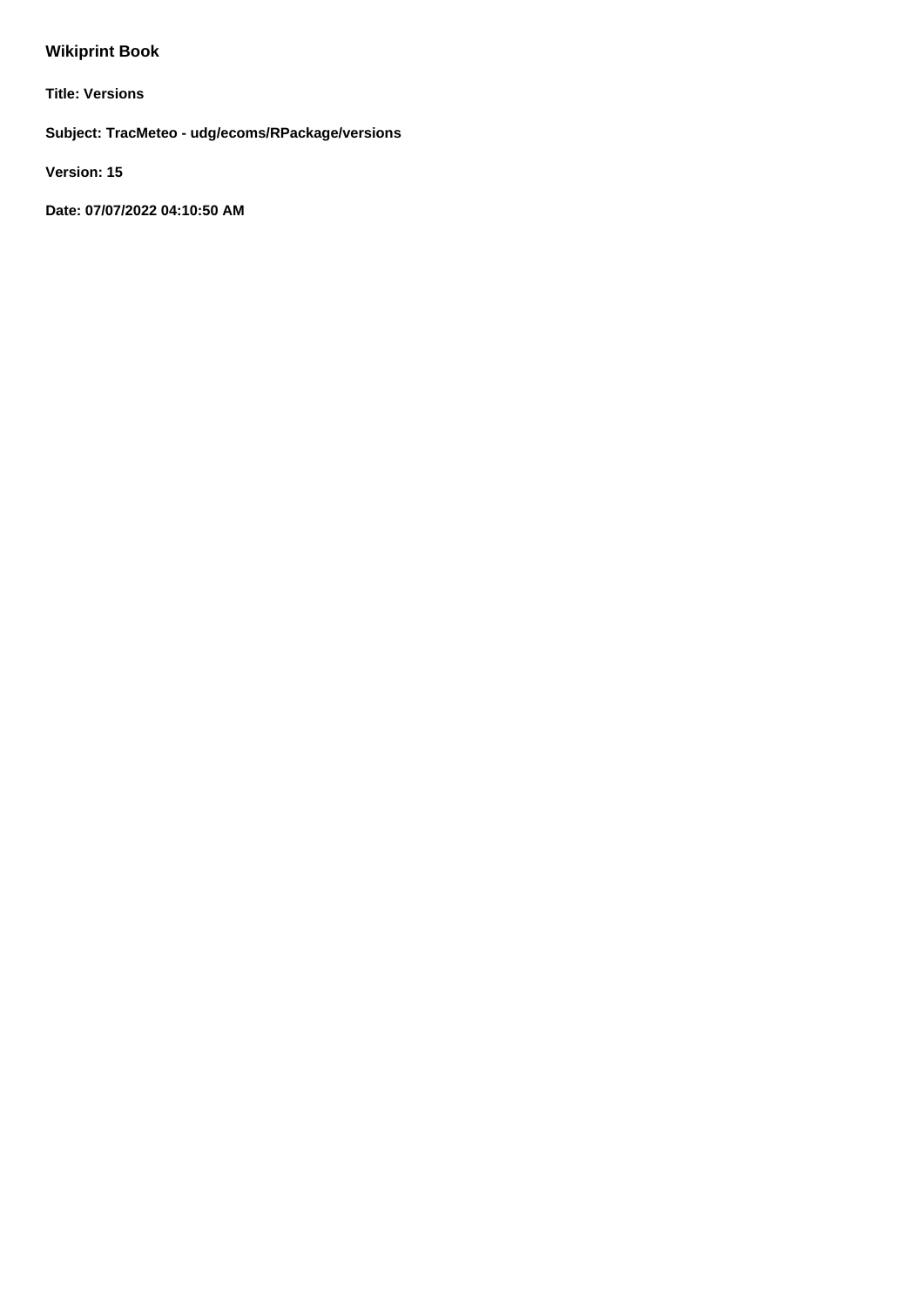# **Wikiprint Book**

**Title: Versions**

**Subject: TracMeteo - udg/ecoms/RPackage/versions**

**Version: 15**

**Date: 07/07/2022 04:10:50 AM**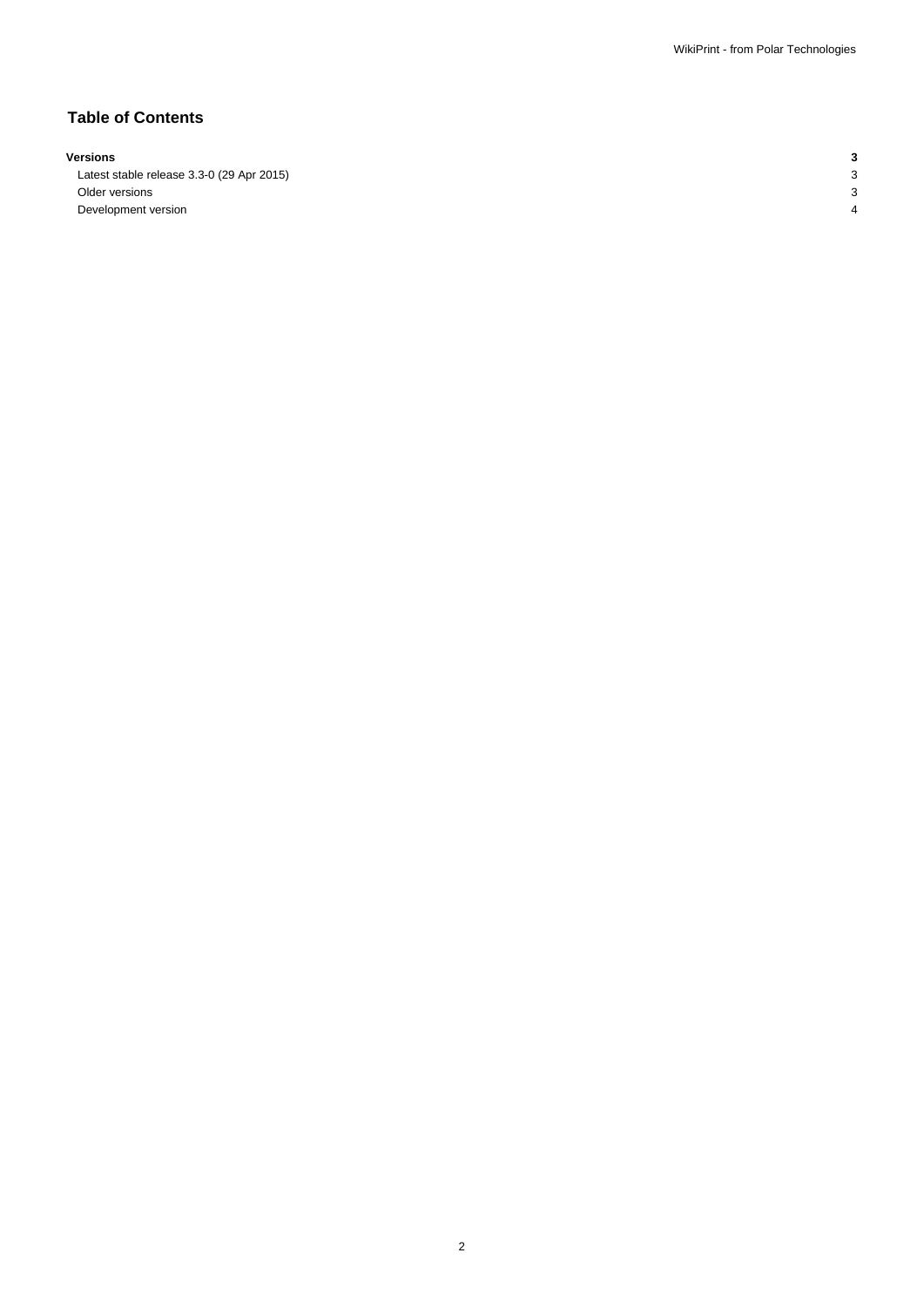## **Table of Contents**

#### **Versions 3**

Latest stable release 3.3-0 (29 Apr 2015) 3 Older versions 3 Development version 4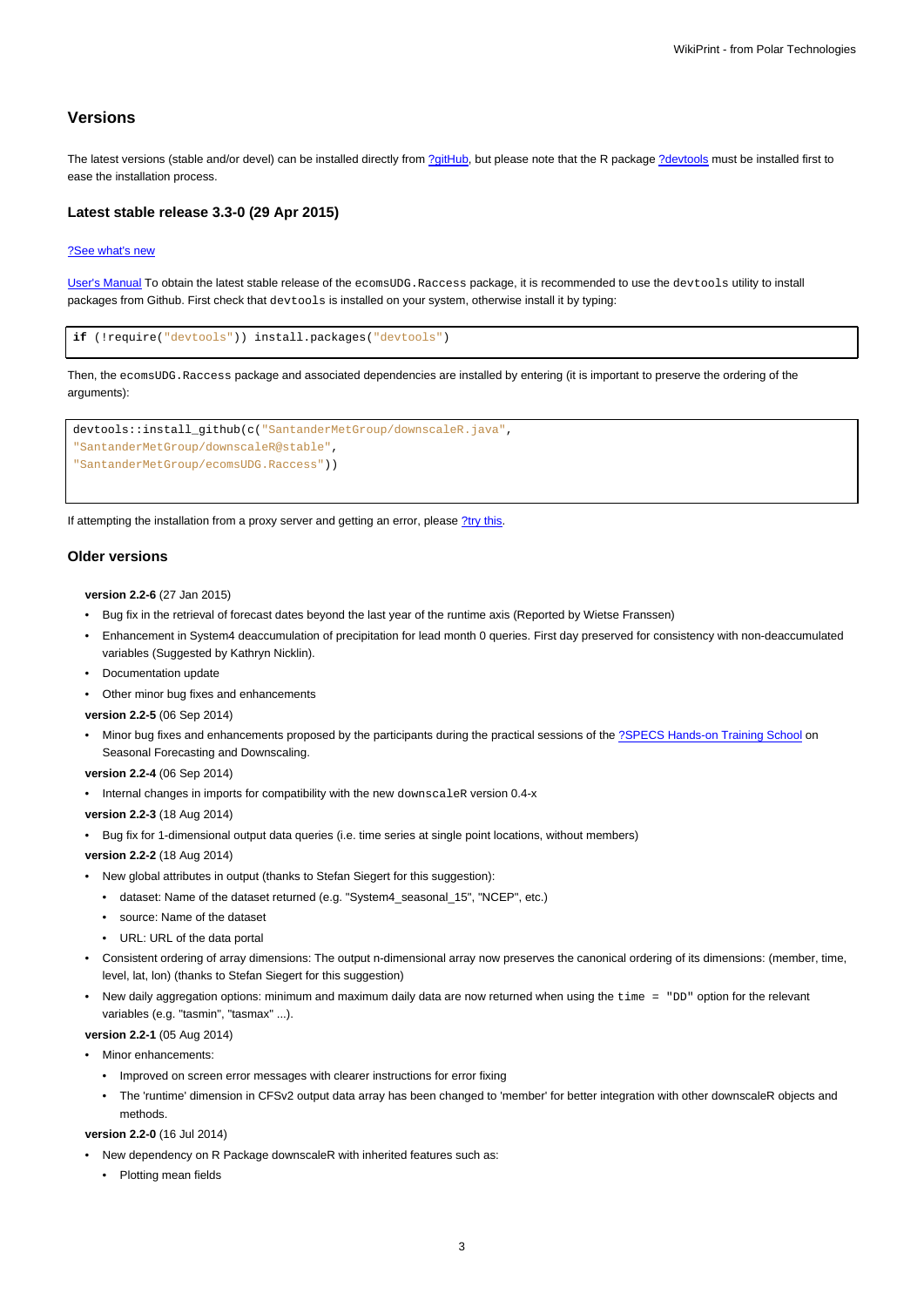### **Versions**

The latest versions (stable and/or devel) can be installed directly from [?gitHub,](https://github.com/SantanderMetGroup/ecomsUDG.Raccess) but please note that the R package [?devtools](http://cran.r-project.org/web/packages/devtools/index.html) must be installed first to ease the installation process.

#### **Latest stable release 3.3-0 (29 Apr 2015)**

#### [?See what's new](https://github.com/SantanderMetGroup/ecomsUDG.Raccess/releases/tag/v3.3-0)

[User's Manual](https://meteo.unican.es/trac/raw-attachment/wiki/EcomsUdg/DataPortal_Tutorial_v2.pdf) To obtain the latest stable release of the ecomsUDG.Raccess package, it is recommended to use the devtools utility to install packages from Github. First check that devtools is installed on your system, otherwise install it by typing:

```
if (!require("devtools")) install.packages("devtools")
```
Then, the ecomsUDG.Raccess package and associated dependencies are installed by entering (it is important to preserve the ordering of the arguments):

```
devtools::install_github(c("SantanderMetGroup/downscaleR.java",
"SantanderMetGroup/downscaleR@stable",
"SantanderMetGroup/ecomsUDG.Raccess"))
```
If attempting the installation from a proxy server and getting an error, please [?try this.](http://meteo.unican.es/trac/wiki/udg/ecoms/RPackage/setup_proxy)

#### **Older versions**

**version 2.2-6** (27 Jan 2015)

- Bug fix in the retrieval of forecast dates beyond the last year of the runtime axis (Reported by Wietse Franssen)
- Enhancement in System4 deaccumulation of precipitation for lead month 0 queries. First day preserved for consistency with non-deaccumulated variables (Suggested by Kathryn Nicklin).
- Documentation update
- Other minor bug fixes and enhancements

**version 2.2-5** (06 Sep 2014)

• Minor bug fixes and enhancements proposed by the participants during the practical sessions of the [?SPECS Hands-on Training School](http://www.meteo.unican.es/projects/specs/workshop2014) on Seasonal Forecasting and Downscaling.

**version 2.2-4** (06 Sep 2014)

- Internal changes in imports for compatibility with the new downscaleR version 0.4-x
- **version 2.2-3** (18 Aug 2014)
- Bug fix for 1-dimensional output data queries (i.e. time series at single point locations, without members)

**version 2.2-2** (18 Aug 2014)

- New global attributes in output (thanks to Stefan Siegert for this suggestion):
	- dataset: Name of the dataset returned (e.g. "System4\_seasonal\_15", "NCEP", etc.)
	- source: Name of the dataset
	- URL: URL of the data portal
- Consistent ordering of array dimensions: The output n-dimensional array now preserves the canonical ordering of its dimensions: (member, time, level, lat, lon) (thanks to Stefan Siegert for this suggestion)
- New daily aggregation options: minimum and maximum daily data are now returned when using the time = "DD" option for the relevant variables (e.g. "tasmin", "tasmax" ...).

**version 2.2-1** (05 Aug 2014)

• Minor enhancements:

- Improved on screen error messages with clearer instructions for error fixing
- The 'runtime' dimension in CFSv2 output data array has been changed to 'member' for better integration with other downscaleR objects and methods.

## **version 2.2-0** (16 Jul 2014)

- New dependency on R Package downscaleR with inherited features such as:
	- Plotting mean fields